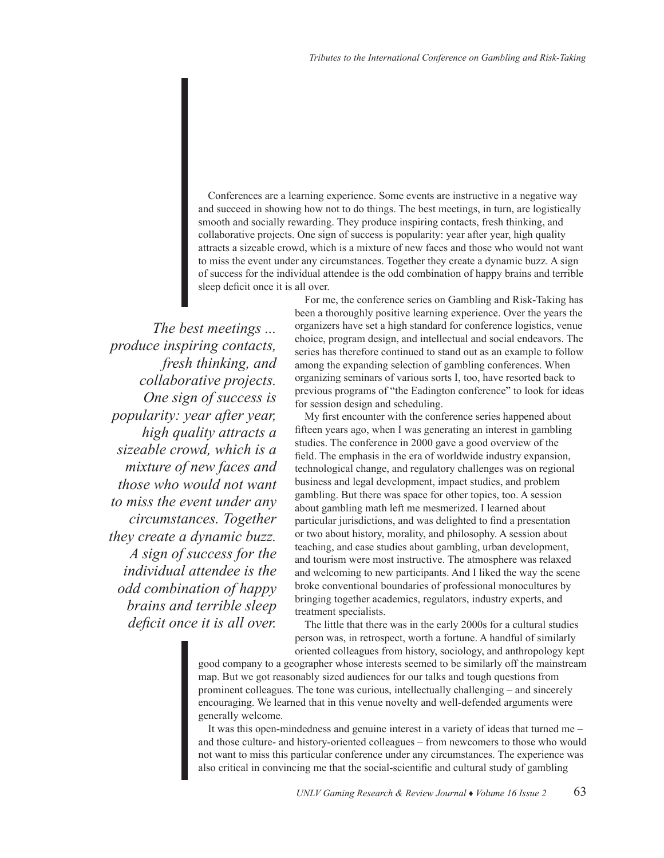Conferences are a learning experience. Some events are instructive in a negative way and succeed in showing how not to do things. The best meetings, in turn, are logistically smooth and socially rewarding. They produce inspiring contacts, fresh thinking, and collaborative projects. One sign of success is popularity: year after year, high quality attracts a sizeable crowd, which is a mixture of new faces and those who would not want to miss the event under any circumstances. Together they create a dynamic buzz. A sign of success for the individual attendee is the odd combination of happy brains and terrible sleep deficit once it is all over.

*The best meetings ... produce inspiring contacts, fresh thinking, and collaborative projects. One sign of success is popularity: year after year, high quality attracts a sizeable crowd, which is a mixture of new faces and those who would not want to miss the event under any circumstances. Together they create a dynamic buzz. A sign of success for the individual attendee is the odd combination of happy brains and terrible sleep deficit once it is all over.*

For me, the conference series on Gambling and Risk-Taking has been a thoroughly positive learning experience. Over the years the organizers have set a high standard for conference logistics, venue choice, program design, and intellectual and social endeavors. The series has therefore continued to stand out as an example to follow among the expanding selection of gambling conferences. When organizing seminars of various sorts I, too, have resorted back to previous programs of "the Eadington conference" to look for ideas for session design and scheduling.

My first encounter with the conference series happened about fifteen years ago, when I was generating an interest in gambling studies. The conference in 2000 gave a good overview of the field. The emphasis in the era of worldwide industry expansion, technological change, and regulatory challenges was on regional business and legal development, impact studies, and problem gambling. But there was space for other topics, too. A session about gambling math left me mesmerized. I learned about particular jurisdictions, and was delighted to find a presentation or two about history, morality, and philosophy. A session about teaching, and case studies about gambling, urban development, and tourism were most instructive. The atmosphere was relaxed and welcoming to new participants. And I liked the way the scene broke conventional boundaries of professional monocultures by bringing together academics, regulators, industry experts, and treatment specialists.

The little that there was in the early 2000s for a cultural studies person was, in retrospect, worth a fortune. A handful of similarly oriented colleagues from history, sociology, and anthropology kept

good company to a geographer whose interests seemed to be similarly off the mainstream map. But we got reasonably sized audiences for our talks and tough questions from prominent colleagues. The tone was curious, intellectually challenging – and sincerely encouraging. We learned that in this venue novelty and well-defended arguments were generally welcome.

It was this open-mindedness and genuine interest in a variety of ideas that turned me – and those culture- and history-oriented colleagues – from newcomers to those who would not want to miss this particular conference under any circumstances. The experience was also critical in convincing me that the social-scientific and cultural study of gambling